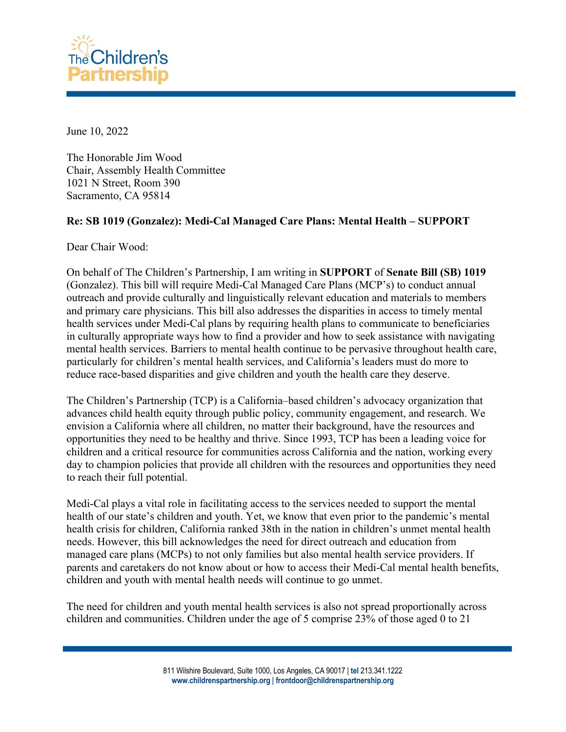

June 10, 2022

The Honorable Jim Wood Chair, Assembly Health Committee 1021 N Street, Room 390 Sacramento, CA 95814

## **Re: SB 1019 (Gonzalez): Medi-Cal Managed Care Plans: Mental Health – SUPPORT**

Dear Chair Wood:

On behalf of The Children's Partnership, I am writing in **SUPPORT** of **Senate Bill (SB) 1019** (Gonzalez). This bill will require Medi-Cal Managed Care Plans (MCP's) to conduct annual outreach and provide culturally and linguistically relevant education and materials to members and primary care physicians. This bill also addresses the disparities in access to timely mental health services under Medi-Cal plans by requiring health plans to communicate to beneficiaries in culturally appropriate ways how to find a provider and how to seek assistance with navigating mental health services. Barriers to mental health continue to be pervasive throughout health care, particularly for children's mental health services, and California's leaders must do more to reduce race-based disparities and give children and youth the health care they deserve.

The Children's Partnership (TCP) is a California–based children's advocacy organization that advances child health equity through public policy, community engagement, and research. We envision a California where all children, no matter their background, have the resources and opportunities they need to be healthy and thrive. Since 1993, TCP has been a leading voice for children and a critical resource for communities across California and the nation, working every day to champion policies that provide all children with the resources and opportunities they need to reach their full potential.

Medi-Cal plays a vital role in facilitating access to the services needed to support the mental health of our state's children and youth. Yet, we know that even prior to the pandemic's mental health crisis for children, California ranked 38th in the nation in children's unmet mental health needs. However, this bill acknowledges the need for direct outreach and education from managed care plans (MCPs) to not only families but also mental health service providers. If parents and caretakers do not know about or how to access their Medi-Cal mental health benefits, children and youth with mental health needs will continue to go unmet.

The need for children and youth mental health services is also not spread proportionally across children and communities. Children under the age of 5 comprise 23% of those aged 0 to 21